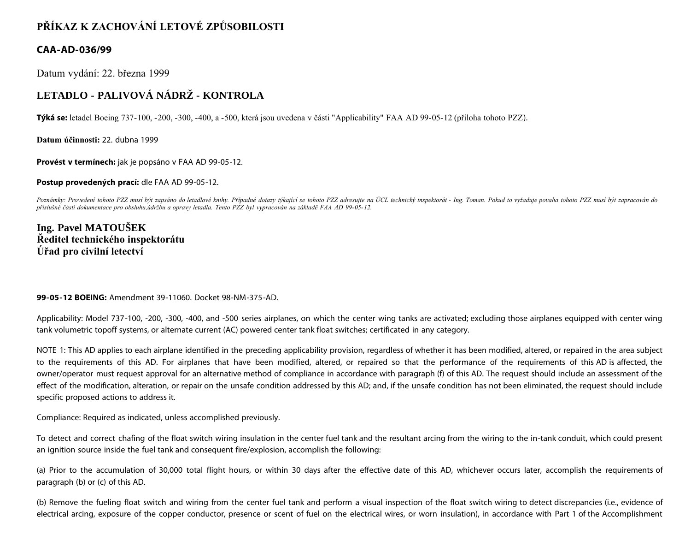## **PŘÍKAZ K ZACHOVÁNÍ LETOVÉ ZPŮSOBILOSTI**

## **CAA-AD-036/99**

Datum vydání: 22. března 1999

## **LETADLO - PALIVOVÁ NÁDRŽ - KONTROLA**

**Týká se:** letadel Boeing 737-100, -200, -300, -400, a -500, která jsou uvedena v části "Applicability" FAA AD 99-05-12 (příloha tohoto PZZ).

**Datum účinnosti:** 22. dubna 1999

**Provést v termínech:** jak je popsáno v FAA AD 99-05-12.

**Postup provedených prací:** dle FAA AD 99-05-12.

Poznámky: Provedení tohoto PZZ musí být zapsáno do letadlové knihy. Případné dotazy týkající se tohoto PZZ adresujte na ÚCL technický inspektorát - Ing. Toman. Pokud to vyžaduje povaha tohoto PZZ musí být zapracován do *příslušné části dokumentace pro obsluhu,údržbu a opravy letadla. Tento PZZ byl vypracován na základě FAA AD 99-05-12.*

## **Ing. Pavel MATOUŠEK Ředitel technického inspektorátu Úřad pro civilní letectví**

**99-05-12 BOEING:** Amendment 39-11060. Docket 98-NM-375-AD.

Applicability: Model 737-100, -200, -300, -400, and -500 series airplanes, on which the center wing tanks are activated; excluding those airplanes equipped with center wing tank volumetric topoff systems, or alternate current (AC) powered center tank float switches; certificated in any category.

NOTE 1: This AD applies to each airplane identified in the preceding applicability provision, regardless of whether it has been modified, altered, or repaired in the area subject to the requirements of this AD. For airplanes that have been modified, altered, or repaired so that the performance of the requirements of this AD is affected, the owner/operator must request approval for an alternative method of compliance in accordance with paragraph (f) of this AD. The request should include an assessment of the effect of the modification, alteration, or repair on the unsafe condition addressed by this AD; and, if the unsafe condition has not been eliminated, the request should include specific proposed actions to address it.

Compliance: Required as indicated, unless accomplished previously.

To detect and correct chafing of the float switch wiring insulation in the center fuel tank and the resultant arcing from the wiring to the in-tank conduit, which could present an ignition source inside the fuel tank and consequent fire/explosion, accomplish the following:

(a) Prior to the accumulation of 30,000 total flight hours, or within 30 days after the effective date of this AD, whichever occurs later, accomplish the requirements of paragraph (b) or (c) of this AD.

(b) Remove the fueling float switch and wiring from the center fuel tank and perform a visual inspection of the float switch wiring to detect discrepancies (i.e., evidence of electrical arcing, exposure of the copper conductor, presence or scent of fuel on the electrical wires, or worn insulation), in accordance with Part 1 of the Accomplishment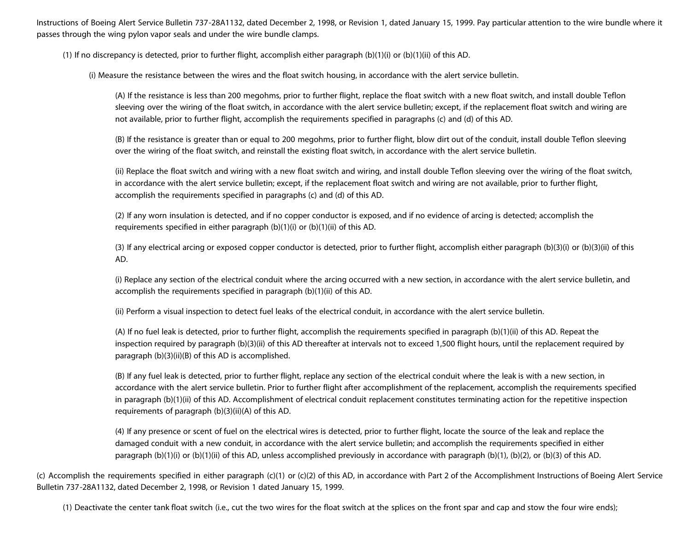Instructions of Boeing Alert Service Bulletin 737-28A1132, dated December 2, 1998, or Revision 1, dated January 15, 1999. Pay particular attention to the wire bundle where it passes through the wing pylon vapor seals and under the wire bundle clamps.

(1) If no discrepancy is detected, prior to further flight, accomplish either paragraph (b)(1)(i) or (b)(1)(ii) of this AD.

(i) Measure the resistance between the wires and the float switch housing, in accordance with the alert service bulletin.

(A) If the resistance is less than 200 megohms, prior to further flight, replace the float switch with a new float switch, and install double Teflon sleeving over the wiring of the float switch, in accordance with the alert service bulletin; except, if the replacement float switch and wiring are not available, prior to further flight, accomplish the requirements specified in paragraphs (c) and (d) of this AD.

(B) If the resistance is greater than or equal to 200 megohms, prior to further flight, blow dirt out of the conduit, install double Teflon sleeving over the wiring of the float switch, and reinstall the existing float switch, in accordance with the alert service bulletin.

(ii) Replace the float switch and wiring with a new float switch and wiring, and install double Teflon sleeving over the wiring of the float switch, in accordance with the alert service bulletin; except, if the replacement float switch and wiring are not available, prior to further flight, accomplish the requirements specified in paragraphs (c) and (d) of this AD.

(2) If any worn insulation is detected, and if no copper conductor is exposed, and if no evidence of arcing is detected; accomplish the requirements specified in either paragraph (b)(1)(i) or (b)(1)(ii) of this AD.

(3) If any electrical arcing or exposed copper conductor is detected, prior to further flight, accomplish either paragraph (b)(3)(i) or (b)(3)(ii) of this AD.

(i) Replace any section of the electrical conduit where the arcing occurred with a new section, in accordance with the alert service bulletin, and accomplish the requirements specified in paragraph (b)(1)(ii) of this AD.

(ii) Perform a visual inspection to detect fuel leaks of the electrical conduit, in accordance with the alert service bulletin.

(A) If no fuel leak is detected, prior to further flight, accomplish the requirements specified in paragraph (b)(1)(ii) of this AD. Repeat the inspection required by paragraph (b)(3)(ii) of this AD thereafter at intervals not to exceed 1,500 flight hours, until the replacement required by paragraph (b)(3)(ii)(B) of this AD is accomplished.

(B) If any fuel leak is detected, prior to further flight, replace any section of the electrical conduit where the leak is with a new section, in accordance with the alert service bulletin. Prior to further flight after accomplishment of the replacement, accomplish the requirements specified in paragraph (b)(1)(ii) of this AD. Accomplishment of electrical conduit replacement constitutes terminating action for the repetitive inspection requirements of paragraph (b)(3)(ii)(A) of this AD.

(4) If any presence or scent of fuel on the electrical wires is detected, prior to further flight, locate the source of the leak and replace the damaged conduit with a new conduit, in accordance with the alert service bulletin; and accomplish the requirements specified in either paragraph (b)(1)(i) or (b)(1)(ii) of this AD, unless accomplished previously in accordance with paragraph (b)(1), (b)(2), or (b)(3) of this AD.

(c) Accomplish the requirements specified in either paragraph (c)(1) or (c)(2) of this AD, in accordance with Part 2 of the Accomplishment Instructions of Boeing Alert Service Bulletin 737-28A1132, dated December 2, 1998, or Revision 1 dated January 15, 1999.

(1) Deactivate the center tank float switch (i.e., cut the two wires for the float switch at the splices on the front spar and cap and stow the four wire ends);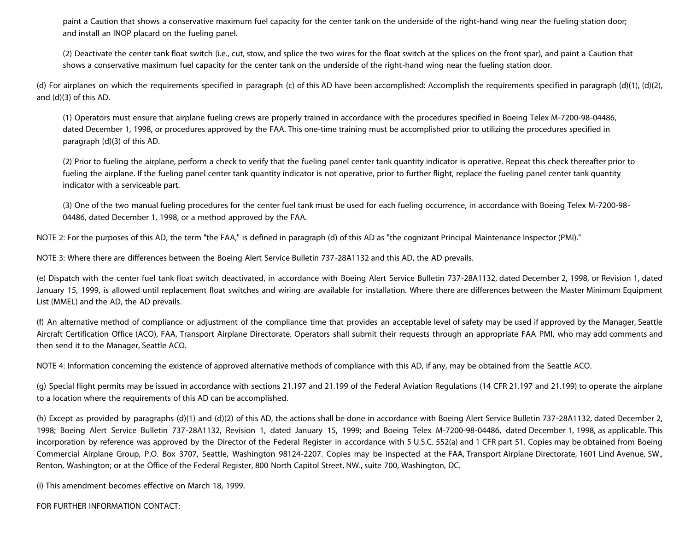paint a Caution that shows a conservative maximum fuel capacity for the center tank on the underside of the right-hand wing near the fueling station door; and install an INOP placard on the fueling panel.

(2) Deactivate the center tank float switch (i.e., cut, stow, and splice the two wires for the float switch at the splices on the front spar), and paint a Caution that shows a conservative maximum fuel capacity for the center tank on the underside of the right-hand wing near the fueling station door.

(d) For airplanes on which the requirements specified in paragraph (c) of this AD have been accomplished: Accomplish the requirements specified in paragraph (d)(1), (d)(2), and (d)(3) of this AD.

(1) Operators must ensure that airplane fueling crews are properly trained in accordance with the procedures specified in Boeing Telex M-7200-98-04486, dated December 1, 1998, or procedures approved by the FAA. This one-time training must be accomplished prior to utilizing the procedures specified in paragraph (d)(3) of this AD.

(2) Prior to fueling the airplane, perform a check to verify that the fueling panel center tank quantity indicator is operative. Repeat this check thereafter prior to fueling the airplane. If the fueling panel center tank quantity indicator is not operative, prior to further flight, replace the fueling panel center tank quantity indicator with a serviceable part.

(3) One of the two manual fueling procedures for the center fuel tank must be used for each fueling occurrence, in accordance with Boeing Telex M-7200-98- 04486, dated December 1, 1998, or a method approved by the FAA.

NOTE 2: For the purposes of this AD, the term "the FAA," is defined in paragraph (d) of this AD as "the cognizant Principal Maintenance Inspector (PMI)."

NOTE 3: Where there are differences between the Boeing Alert Service Bulletin 737-28A1132 and this AD, the AD prevails.

(e) Dispatch with the center fuel tank float switch deactivated, in accordance with Boeing Alert Service Bulletin 737-28A1132, dated December 2, 1998, or Revision 1, dated January 15, 1999, is allowed until replacement float switches and wiring are available for installation. Where there are differences between the Master Minimum Equipment List (MMEL) and the AD, the AD prevails.

(f) An alternative method of compliance or adjustment of the compliance time that provides an acceptable level of safety may be used if approved by the Manager, Seattle Aircraft Certification Office (ACO), FAA, Transport Airplane Directorate. Operators shall submit their requests through an appropriate FAA PMI, who may add comments and then send it to the Manager, Seattle ACO.

NOTE 4: Information concerning the existence of approved alternative methods of compliance with this AD, if any, may be obtained from the Seattle ACO.

(g) Special flight permits may be issued in accordance with sections 21.197 and 21.199 of the Federal Aviation Regulations (14 CFR 21.197 and 21.199) to operate the airplane to a location where the requirements of this AD can be accomplished.

(h) Except as provided by paragraphs (d)(1) and (d)(2) of this AD, the actions shall be done in accordance with Boeing Alert Service Bulletin 737-28A1132, dated December 2, 1998; Boeing Alert Service Bulletin 737-28A1132, Revision 1, dated January 15, 1999; and Boeing Telex M-7200-98-04486, dated December 1, 1998, as applicable. This incorporation by reference was approved by the Director of the Federal Register in accordance with 5 U.S.C. 552(a) and 1 CFR part 51. Copies may be obtained from Boeing Commercial Airplane Group, P.O. Box 3707, Seattle, Washington 98124-2207. Copies may be inspected at the FAA, Transport Airplane Directorate, 1601 Lind Avenue, SW., Renton, Washington; or at the Office of the Federal Register, 800 North Capitol Street, NW., suite 700, Washington, DC.

(i) This amendment becomes effective on March 18, 1999.

FOR FURTHER INFORMATION CONTACT: